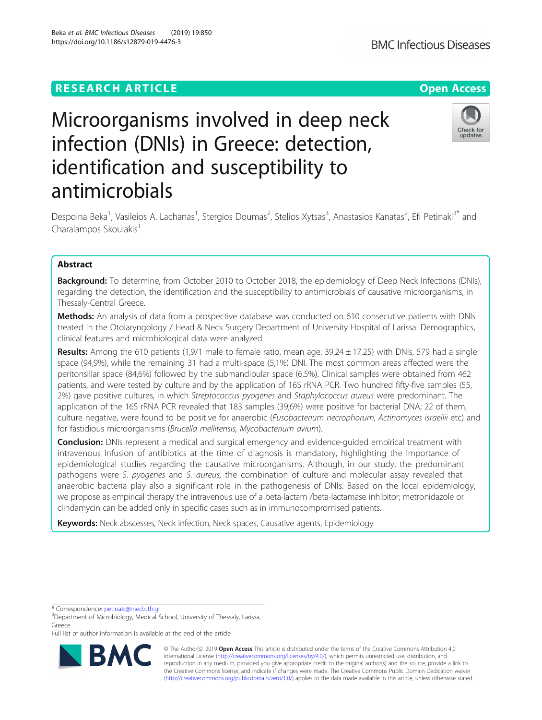## **RESEARCH ARTICLE Example 2014 12:30 The Contract of Contract ACCESS**

# Microorganisms involved in deep neck infection (DNIs) in Greece: detection, identification and susceptibility to antimicrobials

Despoina Beka<sup>1</sup>, Vasileios A. Lachanas<sup>1</sup>, Stergios Doumas<sup>2</sup>, Stelios Xytsas<sup>3</sup>, Anastasios Kanatas<sup>2</sup>, Efi Petinaki<sup>3\*</sup> and Charalampos Skoulakis<sup>1</sup>

## Abstract

Background: To determine, from October 2010 to October 2018, the epidemiology of Deep Neck Infections (DNIs), regarding the detection, the identification and the susceptibility to antimicrobials of causative microorganisms, in Thessaly-Central Greece.

Methods: An analysis of data from a prospective database was conducted on 610 consecutive patients with DNIs treated in the Otolaryngology / Head & Neck Surgery Department of University Hospital of Larissa. Demographics, clinical features and microbiological data were analyzed.

Results: Among the 610 patients (1,9/1 male to female ratio, mean age:  $39,24 \pm 17,25$ ) with DNIs, 579 had a single space (94,9%), while the remaining 31 had a multi-space (5,1%) DNI. The most common areas affected were the peritonsillar space (84,6%) followed by the submandibular space (6,5%). Clinical samples were obtained from 462 patients, and were tested by culture and by the application of 16S rRNA PCR. Two hundred fifty-five samples (55, 2%) gave positive cultures, in which Streptococcus pyogenes and Staphylococcus aureus were predominant. The application of the 16S rRNA PCR revealed that 183 samples (39,6%) were positive for bacterial DNA; 22 of them, culture negative, were found to be positive for anaerobic (Fusobacterium necrophorum, Actinomyces israellii etc) and for fastidious microorganisms (Brucella mellitensis, Mycobacterium avium).

**Conclusion:** DNIs represent a medical and surgical emergency and evidence-guided empirical treatment with intravenous infusion of antibiotics at the time of diagnosis is mandatory, highlighting the importance of epidemiological studies regarding the causative microorganisms. Although, in our study, the predominant pathogens were S. pyogenes and S. aureus, the combination of culture and molecular assay revealed that anaerobic bacteria play also a significant role in the pathogenesis of DNIs. Based on the local epidemiology, we propose as empirical therapy the intravenous use of a beta-lactam /beta-lactamase inhibitor; metronidazole or clindamycin can be added only in specific cases such as in immunocompromised patients.

Keywords: Neck abscesses, Neck infection, Neck spaces, Causative agents, Epidemiology

<sup>3</sup>Department of Microbiology, Medical School, University of Thessaly, Larissa, Greece

Full list of author information is available at the end of the article

© The Author(s). 2019 **Open Access** This article is distributed under the terms of the Creative Commons Attribution 4.0 International License [\(http://creativecommons.org/licenses/by/4.0/](http://creativecommons.org/licenses/by/4.0/)), which permits unrestricted use, distribution, and reproduction in any medium, provided you give appropriate credit to the original author(s) and the source, provide a link to the Creative Commons license, and indicate if changes were made. The Creative Commons Public Domain Dedication waiver [\(http://creativecommons.org/publicdomain/zero/1.0/](http://creativecommons.org/publicdomain/zero/1.0/)) applies to the data made available in this article, unless otherwise stated.

\* Correspondence: [petinaki@med.uth.gr](mailto:petinaki@med.uth.gr) <sup>3</sup>







Beka et al. BMC Infectious Diseases (2019) 19:850 https://doi.org/10.1186/s12879-019-4476-3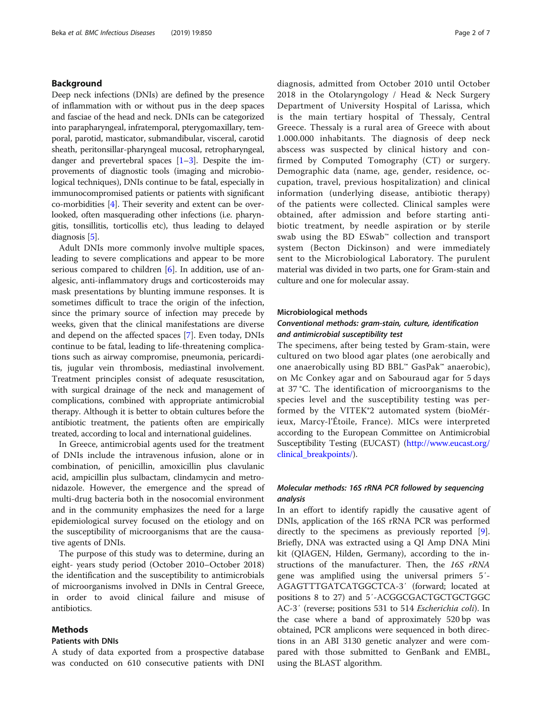## Background

Deep neck infections (DNIs) are defined by the presence of inflammation with or without pus in the deep spaces and fasciae of the head and neck. DNIs can be categorized into parapharyngeal, infratemporal, pterygomaxillary, temporal, parotid, masticator, submandibular, visceral, carotid sheath, peritonsillar-pharyngeal mucosal, retropharyngeal, danger and prevertebral spaces  $[1-3]$  $[1-3]$  $[1-3]$  $[1-3]$  $[1-3]$ . Despite the improvements of diagnostic tools (imaging and microbiological techniques), DNIs continue to be fatal, especially in immunocompromised patients or patients with significant co-morbidities [\[4](#page-5-0)]. Their severity and extent can be overlooked, often masquerading other infections (i.e. pharyngitis, tonsillitis, torticollis etc), thus leading to delayed diagnosis [\[5\]](#page-5-0).

Adult DNIs more commonly involve multiple spaces, leading to severe complications and appear to be more serious compared to children [\[6](#page-5-0)]. In addition, use of analgesic, anti-inflammatory drugs and corticosteroids may mask presentations by blunting immune responses. It is sometimes difficult to trace the origin of the infection, since the primary source of infection may precede by weeks, given that the clinical manifestations are diverse and depend on the affected spaces [[7\]](#page-5-0). Even today, DNIs continue to be fatal, leading to life-threatening complications such as airway compromise, pneumonia, pericarditis, jugular vein thrombosis, mediastinal involvement. Treatment principles consist of adequate resuscitation, with surgical drainage of the neck and management of complications, combined with appropriate antimicrobial therapy. Although it is better to obtain cultures before the antibiotic treatment, the patients often are empirically treated, according to local and international guidelines.

In Greece, antimicrobial agents used for the treatment of DNIs include the intravenous infusion, alone or in combination, of penicillin, amoxicillin plus clavulanic acid, ampicillin plus sulbactam, clindamycin and metronidazole. However, the emergence and the spread of multi-drug bacteria both in the nosocomial environment and in the community emphasizes the need for a large epidemiological survey focused on the etiology and on the susceptibility of microorganisms that are the causative agents of DNIs.

The purpose of this study was to determine, during an eight- years study period (October 2010–October 2018) the identification and the susceptibility to antimicrobials of microorganisms involved in DNIs in Central Greece, in order to avoid clinical failure and misuse of antibiotics.

## **Methods**

## Patients with DNIs

A study of data exported from a prospective database was conducted on 610 consecutive patients with DNI diagnosis, admitted from October 2010 until October 2018 in the Otolaryngology / Head & Neck Surgery Department of University Hospital of Larissa, which is the main tertiary hospital of Thessaly, Central Greece. Thessaly is a rural area of Greece with about 1.000.000 inhabitants. The diagnosis of deep neck abscess was suspected by clinical history and confirmed by Computed Tomography (CT) or surgery. Demographic data (name, age, gender, residence, occupation, travel, previous hospitalization) and clinical information (underlying disease, antibiotic therapy) of the patients were collected. Clinical samples were obtained, after admission and before starting antibiotic treatment, by needle aspiration or by sterile swab using the BD ESwab™ collection and transport system (Becton Dickinson) and were immediately sent to the Microbiological Laboratory. The purulent material was divided in two parts, one for Gram-stain and culture and one for molecular assay.

## Microbiological methods

## Conventional methods: gram-stain, culture, identification and antimicrobial susceptibility test

The specimens, after being tested by Gram-stain, were cultured on two blood agar plates (one aerobically and one anaerobically using BD BBL™ GasPak™ anaerobic), on Mc Conkey agar and on Sabouraud agar for 5 days at 37 °C. The identification of microorganisms to the species level and the susceptibility testing was performed by the VITEK®2 automated system (bioMérieux, Marcy-l'Étoile, France). MICs were interpreted according to the European Committee on Antimicrobial Susceptibility Testing (EUCAST) ([http://www.eucast.org/](http://www.eucast.org/clinical_breakpoints/) [clinical\\_breakpoints/\)](http://www.eucast.org/clinical_breakpoints/).

## Molecular methods: 16S rRNA PCR followed by sequencing analysis

In an effort to identify rapidly the causative agent of DNIs, application of the 16S rRNA PCR was performed directly to the specimens as previously reported [\[9](#page-5-0)]. Briefly, DNA was extracted using a QI Amp DNA Mini kit (QIAGEN, Hilden, Germany), according to the instructions of the manufacturer. Then, the 16S rRNA gene was amplified using the universal primers 5΄- AGAGTTTGATCATGGCTCA-3΄ (forward; located at positions 8 to 27) and 5΄-ACGGCGACTGCTGCTGGC AC-3΄ (reverse; positions 531 to 514 Escherichia coli). In the case where a band of approximately 520 bp was obtained, PCR amplicons were sequenced in both directions in an ABI 3130 genetic analyzer and were compared with those submitted to GenBank and EMBL, using the BLAST algorithm.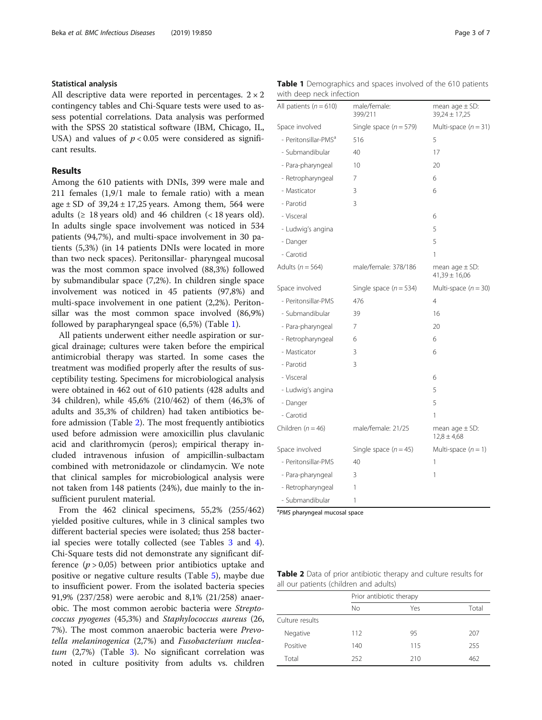## Statistical analysis

All descriptive data were reported in percentages.  $2 \times 2$ contingency tables and Chi-Square tests were used to assess potential correlations. Data analysis was performed with the SPSS 20 statistical software (IBM, Chicago, IL, USA) and values of  $p < 0.05$  were considered as significant results.

## Results

Among the 610 patients with DNIs, 399 were male and 211 females (1,9/1 male to female ratio) with a mean age  $\pm$  SD of 39,24  $\pm$  17,25 years. Among them, 564 were adults ( $\geq$  18 years old) and 46 children ( $\lt$  18 years old). In adults single space involvement was noticed in 534 patients (94,7%), and multi-space involvement in 30 patients (5,3%) (in 14 patients DNIs were located in more than two neck spaces). Peritonsillar- pharyngeal mucosal was the most common space involved (88,3%) followed by submandibular space (7,2%). In children single space involvement was noticed in 45 patients (97,8%) and multi-space involvement in one patient (2,2%). Peritonsillar was the most common space involved (86,9%) followed by parapharyngeal space (6,5%) (Table 1).

All patients underwent either needle aspiration or surgical drainage; cultures were taken before the empirical antimicrobial therapy was started. In some cases the treatment was modified properly after the results of susceptibility testing. Specimens for microbiological analysis were obtained in 462 out of 610 patients (428 adults and 34 children), while 45,6% (210/462) of them (46,3% of adults and 35,3% of children) had taken antibiotics before admission (Table 2). The most frequently antibiotics used before admission were amoxicillin plus clavulanic acid and clarithromycin (peros); empirical therapy included intravenous infusion of ampicillin-sulbactam combined with metronidazole or clindamycin. We note that clinical samples for microbiological analysis were not taken from 148 patients (24%), due mainly to the insufficient purulent material.

From the 462 clinical specimens, 55,2% (255/462) yielded positive cultures, while in 3 clinical samples two different bacterial species were isolated; thus 258 bacterial species were totally collected (see Tables [3](#page-3-0) and [4](#page-3-0)). Chi-Square tests did not demonstrate any significant difference  $(p > 0.05)$  between prior antibiotics uptake and positive or negative culture results (Table [5](#page-3-0)), maybe due to insufficient power. From the isolated bacteria species 91,9% (237/258) were aerobic and 8,1% (21/258) anaerobic. The most common aerobic bacteria were Streptococcus pyogenes (45,3%) and Staphylococcus aureus (26, 7%). The most common anaerobic bacteria were Prevotella melaninogenica (2,7%) and Fusobacterium nuclea $tum$  (2,7%) (Table [3](#page-3-0)). No significant correlation was noted in culture positivity from adults vs. children

|  | <b>Table 1</b> Demographics and spaces involved of the 610 patients |  |  |  |  |
|--|---------------------------------------------------------------------|--|--|--|--|
|  | with deep neck infection                                            |  |  |  |  |

| All patients ( $n = 610$ )       | male/female:<br>399/211  | mean age $\pm$ SD:<br>$39,24 \pm 17,25$ |
|----------------------------------|--------------------------|-----------------------------------------|
| Space involved                   | Single space $(n = 579)$ | Multi-space $(n = 31)$                  |
| - Peritonsillar-PMS <sup>ª</sup> | 516                      | 5                                       |
| - Submandibular                  | 40                       | 17                                      |
| - Para-pharyngeal                | 10                       | 20                                      |
| - Retropharyngeal                | 7                        | 6                                       |
| - Masticator                     | 3                        | 6                                       |
| - Parotid                        | 3                        |                                         |
| - Visceral                       |                          | 6                                       |
| - Ludwig's angina                |                          | 5                                       |
| - Danger                         |                          | 5                                       |
| - Carotid                        |                          | 1                                       |
| Adults ( $n = 564$ )             | male/female: 378/186     | mean age $\pm$ SD:<br>$41,39 \pm 16,06$ |
| Space involved                   | Single space $(n = 534)$ | Multi-space $(n = 30)$                  |
| - Peritonsillar-PMS              | 476                      | 4                                       |
| - Submandibular                  | 39                       | 16                                      |
| - Para-pharyngeal                | 7                        | 20                                      |
| - Retropharyngeal                | 6                        | 6                                       |
| - Masticator                     | 3                        | 6                                       |
| - Parotid                        | 3                        |                                         |
| - Visceral                       |                          | 6                                       |
| - Ludwig's angina                |                          | 5                                       |
| - Danger                         |                          | 5                                       |
| - Carotid                        |                          | 1                                       |
| Children ( $n = 46$ )            | male/female: 21/25       | mean $age \pm SD$ :<br>$12,8 \pm 4,68$  |
| Space involved                   | Single space $(n = 45)$  | Multi-space $(n = 1)$                   |
| - Peritonsillar-PMS              | 40                       | 1                                       |
| - Para-pharyngeal                | 3                        | 1                                       |
| - Retropharyngeal                | 1                        |                                         |
| - Submandibular                  | 1                        |                                         |

<sup>a</sup>PMS pharyngeal mucosal space

Table 2 Data of prior antibiotic therapy and culture results for all our patients (children and adults)

|                 | Prior antibiotic therapy |     |       |  |
|-----------------|--------------------------|-----|-------|--|
|                 | No                       | Yes | Total |  |
| Culture results |                          |     |       |  |
| Negative        | 112                      | 95  | 207   |  |
| Positive        | 140                      | 115 | 255   |  |
| Total           | 252                      | 210 | 462   |  |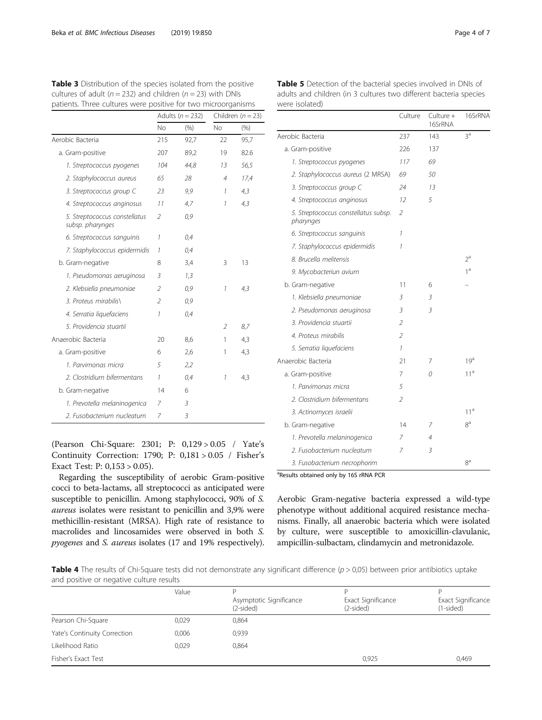<span id="page-3-0"></span>Table 3 Distribution of the species isolated from the positive cultures of adult ( $n = 232$ ) and children ( $n = 23$ ) with DNIs

were isolated)

| patients. Three cultures were positive for two microorganisms |                          |                      |                     |         |
|---------------------------------------------------------------|--------------------------|----------------------|---------------------|---------|
|                                                               |                          | Adults ( $n = 232$ ) | Children $(n = 23)$ |         |
|                                                               | No                       | (% )                 | <b>No</b>           | $(\% )$ |
| Aerobic Bacteria                                              | 215                      | 92,7                 | 22                  | 95,7    |
| a. Gram-positive                                              | 207                      | 89,2                 | 19                  | 82.6    |
| 1. Streptococcus pyogenes                                     | 104                      | 44,8                 | 13                  | 56,5    |
| 2. Staphylococcus aureus                                      | 65                       | 28                   | 4                   | 17,4    |
| 3. Streptococcus group C                                      | 23                       | 9,9                  | 1                   | 4,3     |
| 4. Streptococcus anginosus                                    | 11                       | 4,7                  | 1                   | 4,3     |
| 5. Streptococcus constellatus<br>subsp. pharynges             | $\mathcal{P}$            | 0,9                  |                     |         |
| 6. Streptococcus sanguinis                                    | 1                        | 0,4                  |                     |         |
| 7. Staphylococcus epidermidis                                 | 1                        | 0,4                  |                     |         |
| b. Gram-negative                                              | 8                        | 3,4                  | 3                   | 13      |
| 1. Pseudomonas aeruginosa                                     | 3                        | 1,3                  |                     |         |
| 2. Klebsiella pneumoniae                                      | $\overline{\phantom{a}}$ | 0,9                  | 1                   | 4,3     |
| 3. Proteus mirabilis                                          | $\mathfrak{I}$           | 0,9                  |                     |         |
| 4. Serratia liquefaciens                                      | 1                        | 0,4                  |                     |         |
| 5. Providencia stuartii                                       |                          |                      | 2                   | 8,7     |
| Anaerobic Bacteria                                            | 20                       | 8,6                  | 1                   | 4,3     |
| a. Gram-positive                                              | 6                        | 2,6                  | 1                   | 4,3     |
| 1. Parvimonas micra                                           | 5                        | 2,2                  |                     |         |
| 2. Clostridium bifermentans                                   | $\mathcal{I}$            | 0,4                  | 1                   | 4,3     |
| b. Gram-negative                                              | 14                       | 6                    |                     |         |
| 1. Prevotella melaninogenica                                  | 7                        | 3                    |                     |         |
| 2. Fusobacterium nucleatum                                    | 7                        | 3                    |                     |         |

(Pearson Chi-Square: 2301; P: 0,129 > 0.05 / Yate's Continuity Correction: 1790; P: 0,181 > 0.05 / Fisher's Exact Test: P: 0,153 > 0.05).

Regarding the susceptibility of aerobic Gram-positive cocci to beta-lactams, all streptococci as anticipated were susceptible to penicillin. Among staphylococci, 90% of S. aureus isolates were resistant to penicillin and 3,9% were methicillin-resistant (MRSA). High rate of resistance to macrolides and lincosamides were observed in both S. pyogenes and S. aureus isolates (17 and 19% respectively).

|                                                   | Culture                  | Culture +<br>16SrRNA | 16SrRNA         |
|---------------------------------------------------|--------------------------|----------------------|-----------------|
| Aerobic Bacteria                                  | 237                      | 143                  | 3 <sup>a</sup>  |
| a. Gram-positive                                  | 226                      | 137                  |                 |
| 1. Streptococcus pyogenes                         | 117                      | 69                   |                 |
| 2. Staphylococcus aureus (2 MRSA)                 | 69                       | 50                   |                 |
| 3. Streptococcus group C                          | 24                       | 13                   |                 |
| 4. Streptococcus anginosus                        | 12                       | 5                    |                 |
| 5. Streptococcus constellatus subsp.<br>pharynges | $\overline{\phantom{a}}$ |                      |                 |
| 6. Streptococcus sanguinis                        | 1                        |                      |                 |
| 7. Staphylococcus epidermidis                     | 1                        |                      |                 |
| 8. Brucella melitensis                            |                          |                      | $2^a$           |
| 9. Mycobacteriun avium                            |                          |                      | $1^a$           |
| b. Gram-negative                                  | 11                       | 6                    |                 |
| 1. Klebsiella pneumoniae                          | 3                        | 3                    |                 |
| 2. Pseudomonas aeruginosa                         | 3                        | 3                    |                 |
| 3. Providencia stuartii                           | $\overline{\phantom{a}}$ |                      |                 |
| 4. Proteus mirabilis                              | 2                        |                      |                 |
| 5. Serratia liguefaciens                          | 1                        |                      |                 |
| Anaerobic Bacteria                                | 21                       | 7                    | 19 <sup>a</sup> |
| a. Gram-positive                                  | 7                        | 0                    | 11 <sup>a</sup> |
| 1. Parvimonas micra                               | 5                        |                      |                 |
| 2. Clostridium bifermentans                       | 2                        |                      |                 |
| 3. Actinomyces israelii                           |                          |                      | 11 <sup>a</sup> |
| b. Gram-negative                                  | 14                       | 7                    | $8^{\rm a}$     |
| 1. Prevotella melaninogenica                      | 7                        | 4                    |                 |
| 2. Fusobacterium nucleatum                        | 7                        | 3                    |                 |
| 3. Fusobacterium necrophorim                      |                          |                      | $8^{\rm a}$     |

<sup>a</sup>Results obtained only by 16S rRNA PCR

Aerobic Gram-negative bacteria expressed a wild-type phenotype without additional acquired resistance mechanisms. Finally, all anaerobic bacteria which were isolated by culture, were susceptible to amoxicillin-clavulanic, ampicillin-sulbactam, clindamycin and metronidazole.

**Table 4** The results of Chi-Square tests did not demonstrate any significant difference  $(p > 0.05)$  between prior antibiotics uptake and positive or negative culture results

|                              | Value | Asymptotic Significance<br>$(2-sided)$ | Exact Significance<br>(2-sided) | Exact Significance<br>(1-sided) |
|------------------------------|-------|----------------------------------------|---------------------------------|---------------------------------|
| Pearson Chi-Square           | 0.029 | 0,864                                  |                                 |                                 |
| Yate's Continuity Correction | 0,006 | 0,939                                  |                                 |                                 |
| Likelihood Ratio             | 0.029 | 0.864                                  |                                 |                                 |
| Fisher's Exact Test          |       |                                        | 0.925                           | 0,469                           |

 $16$ Cupata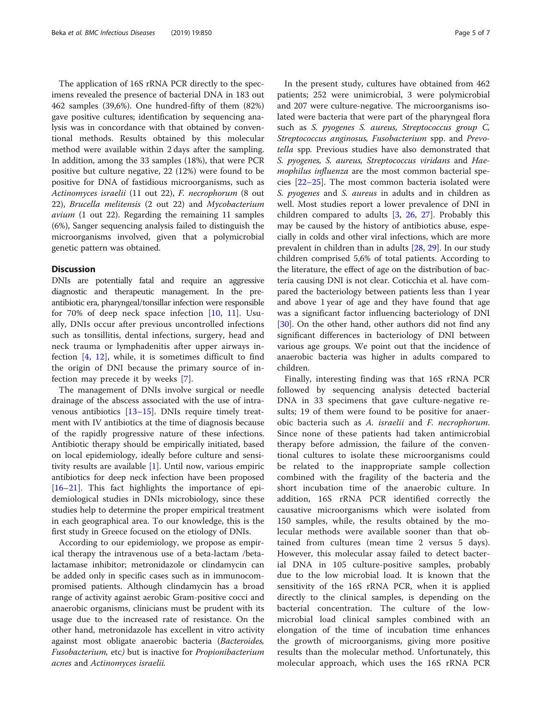The application of 16S rRNA PCR directly to the specimens revealed the presence of bacterial DNA in 183 out 462 samples (39,6%). One hundred-fifty of them (82%) gave positive cultures; identification by sequencing analysis was in concordance with that obtained by conventional methods. Results obtained by this molecular method were available within 2 days after the sampling. In addition, among the 33 samples (18%), that were PCR positive but culture negative, 22 (12%) were found to be positive for DNA of fastidious microorganisms, such as Actinomyces israelii (11 out 22), F. necrophorum (8 out 22), Brucella melitensis (2 out 22) and Mycobacterium avium (1 out 22). Regarding the remaining 11 samples (6%), Sanger sequencing analysis failed to distinguish the microorganisms involved, given that a polymicrobial genetic pattern was obtained.

## **Discussion**

DNIs are potentially fatal and require an aggressive diagnostic and therapeutic management. In the preantibiotic era, pharyngeal/tonsillar infection were responsible for 70% of deep neck space infection  $[10, 11]$  $[10, 11]$  $[10, 11]$ . Usually, DNIs occur after previous uncontrolled infections such as tonsillitis, dental infections, surgery, head and neck trauma or lymphadenitis after upper airways infection [[4](#page-5-0), [12\]](#page-5-0), while, it is sometimes difficult to find the origin of DNI because the primary source of infection may precede it by weeks [[7\]](#page-5-0).

The management of DNIs involve surgical or needle drainage of the abscess associated with the use of intravenous antibiotics [[13](#page-5-0)–[15](#page-5-0)]. DNIs require timely treatment with IV antibiotics at the time of diagnosis because of the rapidly progressive nature of these infections. Antibiotic therapy should be empirically initiated, based on local epidemiology, ideally before culture and sensitivity results are available [[1\]](#page-5-0). Until now, various empiric antibiotics for deep neck infection have been proposed [[16](#page-5-0)–[21](#page-5-0)]. This fact highlights the importance of epidemiological studies in DNIs microbiology, since these studies help to determine the proper empirical treatment in each geographical area. To our knowledge, this is the first study in Greece focused on the etiology of DNIs.

According to our epidemiology, we propose as empirical therapy the intravenous use of a beta-lactam /betalactamase inhibitor; metronidazole or clindamycin can be added only in specific cases such as in immunocompromised patients. Although clindamycin has a broad range of activity against aerobic Gram-positive cocci and anaerobic organisms, clinicians must be prudent with its usage due to the increased rate of resistance. On the other hand, metronidazole has excellent in vitro activity against most obligate anaerobic bacteria (Bacteroides, Fusobacterium, etc) but is inactive for Propionibacterium acnes and Actinomyces israelii.

In the present study, cultures have obtained from 462 patients; 252 were unimicrobial, 3 were polymicrobial and 207 were culture-negative. The microorganisms isolated were bacteria that were part of the pharyngeal flora such as S. pyogenes S. aureus, Streptococcus group C, Streptococcus anginosus, Fusobacterium spp. and Prevotella spp. Previous studies have also demonstrated that S. pyogenes, S. aureus, Streptococcus viridans and Haemophilus influenza are the most common bacterial species [\[22](#page-5-0)–[25\]](#page-6-0). The most common bacteria isolated were S. *pyogenes* and S. *aureus* in adults and in children as well. Most studies report a lower prevalence of DNI in children compared to adults [\[3](#page-5-0), [26,](#page-6-0) [27\]](#page-6-0). Probably this may be caused by the history of antibiotics abuse, especially in colds and other viral infections, which are more prevalent in children than in adults [\[28](#page-6-0), [29\]](#page-6-0). In our study children comprised 5,6% of total patients. According to the literature, the effect of age on the distribution of bacteria causing DNI is not clear. Coticchia et al. have compared the bacteriology between patients less than 1 year and above 1 year of age and they have found that age was a significant factor influencing bacteriology of DNI [[30\]](#page-6-0). On the other hand, other authors did not find any significant differences in bacteriology of DNI between various age groups. We point out that the incidence of anaerobic bacteria was higher in adults compared to children.

Finally, interesting finding was that 16S rRNA PCR followed by sequencing analysis detected bacterial DNA in 33 specimens that gave culture-negative results; 19 of them were found to be positive for anaerobic bacteria such as A. israelii and F. necrophorum. Since none of these patients had taken antimicrobial therapy before admission, the failure of the conventional cultures to isolate these microorganisms could be related to the inappropriate sample collection combined with the fragility of the bacteria and the short incubation time of the anaerobic culture. In addition, 16S rRNA PCR identified correctly the causative microorganisms which were isolated from 150 samples, while, the results obtained by the molecular methods were available sooner than that obtained from cultures (mean time 2 versus 5 days). However, this molecular assay failed to detect bacterial DNA in 105 culture-positive samples, probably due to the low microbial load. It is known that the sensitivity of the 16S rRNA PCR, when it is applied directly to the clinical samples, is depending on the bacterial concentration. The culture of the lowmicrobial load clinical samples combined with an elongation of the time of incubation time enhances the growth of microorganisms, giving more positive results than the molecular method. Unfortunately, this molecular approach, which uses the 16S rRNA PCR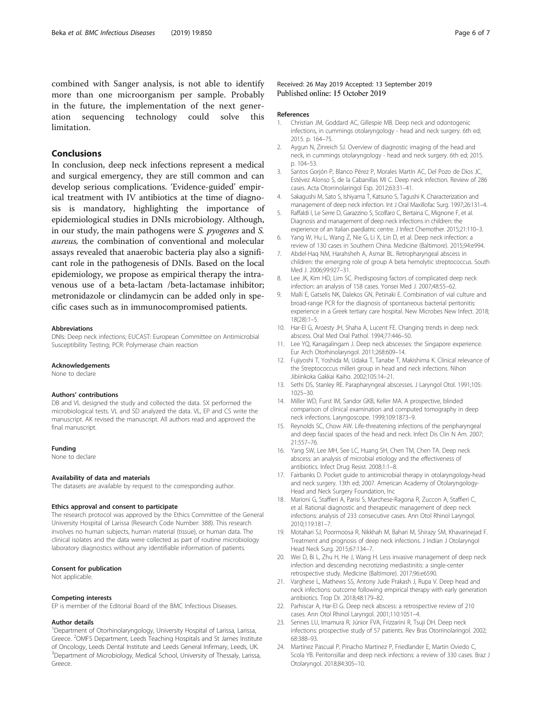<span id="page-5-0"></span>combined with Sanger analysis, is not able to identify more than one microorganism per sample. Probably in the future, the implementation of the next generation sequencing technology could solve this limitation.

## Conclusions

In conclusion, deep neck infections represent a medical and surgical emergency, they are still common and can develop serious complications. 'Evidence-guided' empirical treatment with IV antibiotics at the time of diagnosis is mandatory, highlighting the importance of epidemiological studies in DNIs microbiology. Although, in our study, the main pathogens were S. pyogenes and S. aureus, the combination of conventional and molecular assays revealed that anaerobic bacteria play also a significant role in the pathogenesis of DNIs. Based on the local epidemiology, we propose as empirical therapy the intravenous use of a beta-lactam /beta-lactamase inhibitor; metronidazole or clindamycin can be added only in specific cases such as in immunocompromised patients.

#### Abbreviations

DNIs: Deep neck infections; EUCAST: European Committee on Antimicrobial Susceptibility Testing; PCR: Polymerase chain reaction

#### Acknowledgements

None to declare

#### Authors' contributions

DB and VL designed the study and collected the data. SX performed the microbiological tests. VL and SD analyzed the data. VL, EP and CS write the manuscript. AK revised the manuscript. All authors read and approved the final manuscript.

#### Funding

None to declare

### Availability of data and materials

The datasets are available by request to the corresponding author.

#### Ethics approval and consent to participate

The research protocol was approved by the Ethics Committee of the General University Hospital of Larissa (Research Code Number: 388). This research involves no human subjects, human material (tissue), or human data. The clinical isolates and the data were collected as part of routine microbiology laboratory diagnostics without any identifiable information of patients.

#### Consent for publication

Not applicable.

#### Competing interests

EP is member of the Editorial Board of the BMC Infectious Diseases.

#### Author details

<sup>1</sup>Department of Otorhinolaryngology, University Hospital of Larissa, Larissa, Greece. <sup>2</sup>OMFS Department, Leeds Teaching Hospitals and St James Institute of Oncology, Leeds Dental Institute and Leeds General Infirmary, Leeds, UK. <sup>3</sup>Department of Microbiology, Medical School, University of Thessaly, Larissa, Greece.

## Received: 26 May 2019 Accepted: 13 September 2019 Published online: 15 October 2019

#### References

- 1. Christian JM, Goddard AC, Gillespie MB. Deep neck and odontogenic infections, in cummings otolaryngology - head and neck surgery. 6th ed; 2015. p. 164–75.
- 2. Aygun Ν, Zinreich SJ. Overview of diagnostic imaging of the head and neck, in cummings otolaryngology - head and neck surgery. 6th ed; 2015. p. 104–53.
- 3. Santos Gorjón P, Blanco Pérez P, Morales Martín AC, Del Pozo de Dios JC, Estévez Alonso S, de la Cabanillas MI C. Deep neck infection. Review of 286 cases. Acta Otorrinolaringol Esp. 2012;63:31–41.
- 4. Sakagushi M, Sato S, Ishiyama T, Katsuno S, Tagushi K. Characterization and management of deep neck infection. Int J Oral Maxillofac Surg. 1997;26:131–4.
- 5. Raffaldi I, Le Serre D, Garazzino S, Scolfaro C, Bertaina C, Mignone F, et al. Diagnosis and management of deep neck infections in children: the experience of an Italian paediatric centre. J Infect Chemother. 2015;21:110–3.
- Yang W, Hu L, Wang Z, Nie G, Li X, Lin D, et al. Deep neck infection: a review of 130 cases in Southern China. Medicine (Baltimore). 2015;94:e994.
- 7. Abdel-Haq NM, Harahsheh A, Asmar BL. Retropharyngeal abscess in children: the emerging role of group A beta hemolytic streptococcus. South Med J. 2006;99:927–31.
- 8. Lee JK, Kim HD, Lim SC. Predisposing factors of complicated deep neck infection: an analysis of 158 cases. Yonsei Med J. 2007;48:55–62.
- 9. Malli E, Gatselis NK, Dalekos GN, Petinaki E. Combination of vial culture and broad-range PCR for the diagnosis of spontaneous bacterial peritonitis: experience in a Greek tertiary care hospital. New Microbes New Infect. 2018; 18(28):1–5.
- 10. Har-El G, Aroesty JH, Shaha A, Lucent FE. Changing trends in deep neck abscess. Oral Med Oral Pathol. 1994;77:446–50.
- 11. Lee YQ, Kanagalingam J. Deep neck abscesses: the Singapore experience. Eur Arch Otorhinolaryngol. 2011;268:609–14.
- 12. Fujiyoshi T, Yoshida M, Udaka T, Tanabe T, Makishima K. Clinical relevance of the Streptococcus milleri group in head and neck infections. Nihon Jibiinkoka Gakkai Kaiho. 2002;105:14–21.
- 13. Sethi DS, Stanley RE. Parapharyngeal abscesses. J Laryngol Otol. 1991;105: 1025–30.
- 14. Miller WD, Furst IM, Sandor GKB, Keller MA. A prospective, blinded comparison of clinical examination and computed tomography in deep neck infections. Laryngoscope. 1999;109:1873–9.
- 15. Reynolds SC, Chow AW. Life-threatening infections of the peripharyngeal and deep fascial spaces of the head and neck. Infect Dis Clin N Am. 2007; 21:557–76.
- 16. Yang SW, Lee MH, See LC, Huang SH, Chen TM, Chen TA. Deep neck abscess: an analysis of microbial etiology and the effectiveness of antibiotics. Infect Drug Resist. 2008;1:1–8.
- 17. Fairbanks D. Pocket guide to antimicrobial therapy in otolaryngology-head and neck surgery. 13th ed; 2007. American Academy of Otolaryngology-Head and Neck Surgery Foundation, Inc
- 18. Marioni G, Staffieri A, Parisi S, Marchese-Ragona R, Zuccon A, Staffieri C, et al. Rational diagnostic and therapeutic management of deep neck infections: analysis of 233 consecutive cases. Ann Otol Rhinol Laryngol. 2010;119:181–7.
- 19. Motahari SJ, Poormoosa R, Nikkhah M, Bahari M, Shirazy SM, Khavarinejad F. Treatment and prognosis of deep neck infections. J Indian J Otolaryngol Head Neck Surg. 2015;67:134–7.
- 20. Wei D, Bi L, Zhu H, He J, Wang H. Less invasive management of deep neck infection and descending necrotizing mediastinitis: a single-center retrospective study. Medicine (Baltimore). 2017;96:e6590.
- 21. Varghese L, Mathews SS, Antony Jude Prakash J, Rupa V. Deep head and neck infections: outcome following empirical therapy with early generation antibiotics. Trop Dr. 2018;48:179–82.
- 22. Parhiscar A, Har-El G. Deep neck abscess: a retrospective review of 210 cases. Ann Otol Rhinol Laryngol. 2001;110:1051–4.
- 23. Sennes LU, Imamura R, Júnior FVA, Frizzarini R, Tsuji DH. Deep neck infections: prospective study of 57 patients. Rev Bras Otorrinolaringol. 2002; 68:388–93.
- 24. Martínez Pascual P, Pinacho Martinez P, Friedlander E, Martin Oviedo C, Scola YB. Peritonsillar and deep neck infections: a review of 330 cases. Braz J Otolaryngol. 2018;84:305–10.